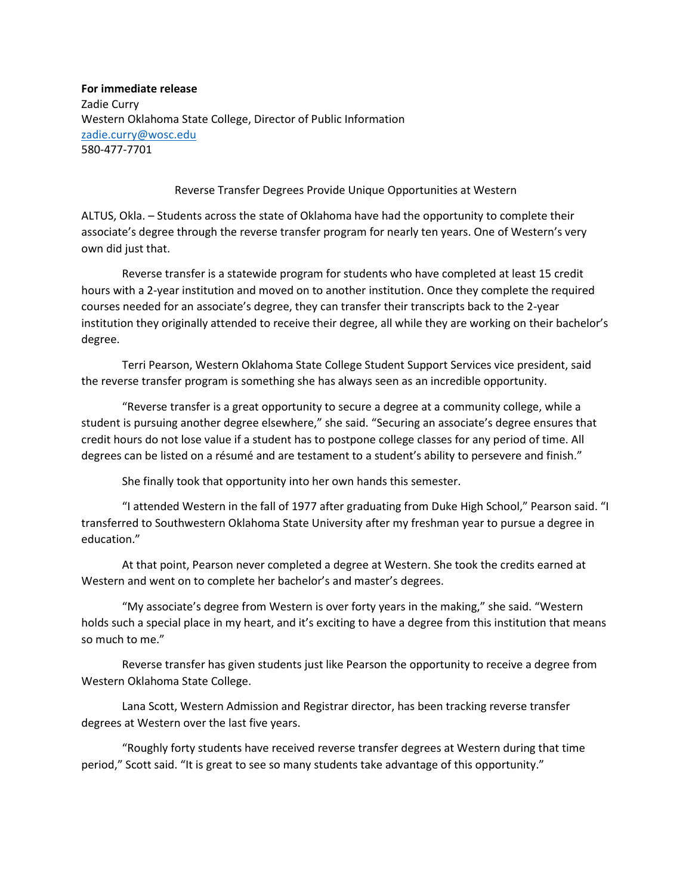**For immediate release** Zadie Curry Western Oklahoma State College, Director of Public Information [zadie.curry@wosc.edu](mailto:zadie.curry@wosc.edu) 580-477-7701

Reverse Transfer Degrees Provide Unique Opportunities at Western

ALTUS, Okla. – Students across the state of Oklahoma have had the opportunity to complete their associate's degree through the reverse transfer program for nearly ten years. One of Western's very own did just that.

Reverse transfer is a statewide program for students who have completed at least 15 credit hours with a 2-year institution and moved on to another institution. Once they complete the required courses needed for an associate's degree, they can transfer their transcripts back to the 2-year institution they originally attended to receive their degree, all while they are working on their bachelor's degree.

Terri Pearson, Western Oklahoma State College Student Support Services vice president, said the reverse transfer program is something she has always seen as an incredible opportunity.

"Reverse transfer is a great opportunity to secure a degree at a community college, while a student is pursuing another degree elsewhere," she said. "Securing an associate's degree ensures that credit hours do not lose value if a student has to postpone college classes for any period of time. All degrees can be listed on a résumé and are testament to a student's ability to persevere and finish."

She finally took that opportunity into her own hands this semester.

"I attended Western in the fall of 1977 after graduating from Duke High School," Pearson said. "I transferred to Southwestern Oklahoma State University after my freshman year to pursue a degree in education."

At that point, Pearson never completed a degree at Western. She took the credits earned at Western and went on to complete her bachelor's and master's degrees.

"My associate's degree from Western is over forty years in the making," she said. "Western holds such a special place in my heart, and it's exciting to have a degree from this institution that means so much to me."

Reverse transfer has given students just like Pearson the opportunity to receive a degree from Western Oklahoma State College.

Lana Scott, Western Admission and Registrar director, has been tracking reverse transfer degrees at Western over the last five years.

"Roughly forty students have received reverse transfer degrees at Western during that time period," Scott said. "It is great to see so many students take advantage of this opportunity."